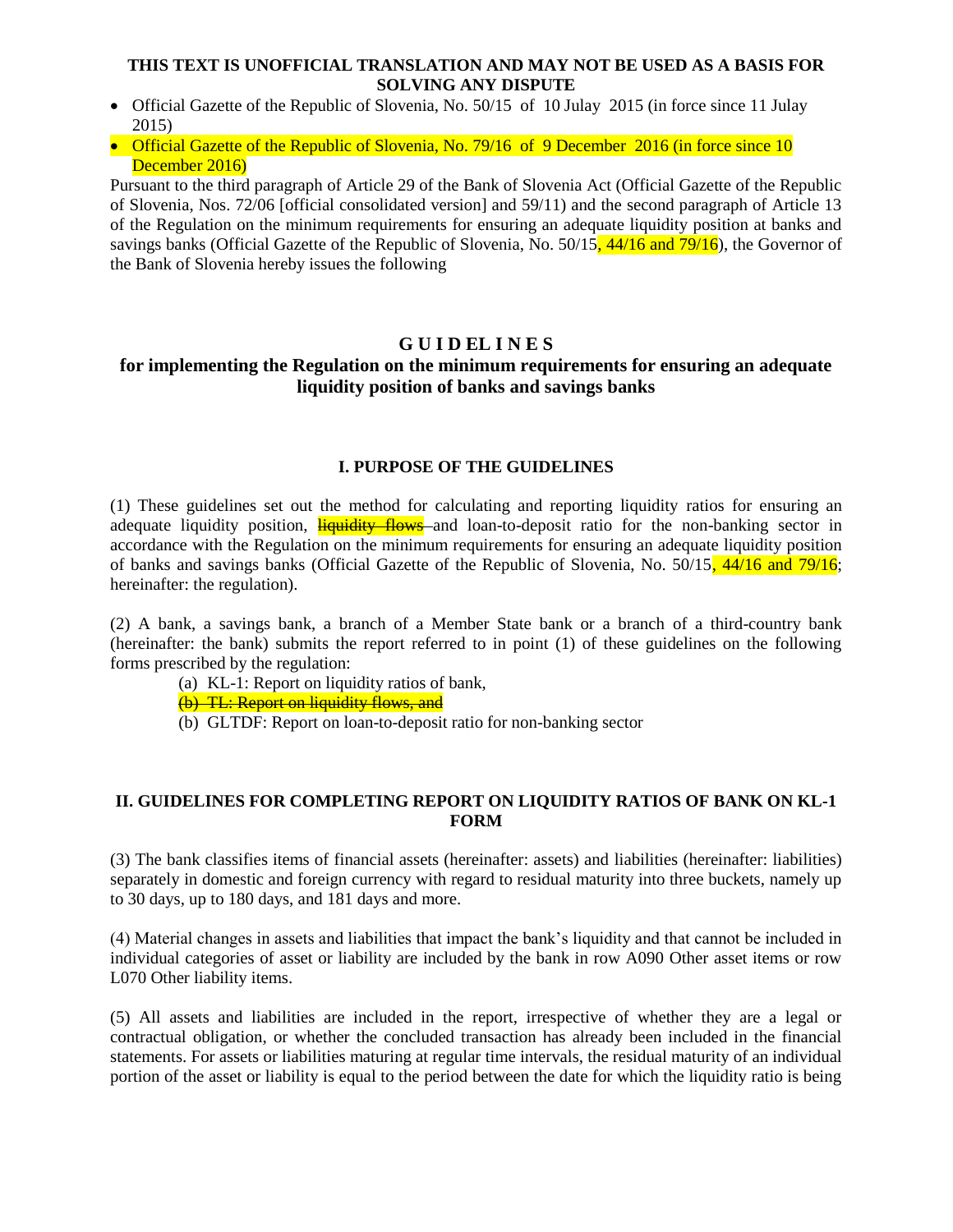## **THIS TEXT IS UNOFFICIAL TRANSLATION AND MAY NOT BE USED AS A BASIS FOR SOLVING ANY DISPUTE**

- Official Gazette of the Republic of Slovenia, No. 50/15 of 10 Julay 2015 (in force since 11 Julay 2015)
- Official Gazette of the Republic of Slovenia, No. 79/16 of 9 December 2016 (in force since 10 December 2016)

Pursuant to the third paragraph of Article 29 of the Bank of Slovenia Act (Official Gazette of the Republic of Slovenia, Nos. 72/06 [official consolidated version] and 59/11) and the second paragraph of Article 13 of the Regulation on the minimum requirements for ensuring an adequate liquidity position at banks and savings banks (Official Gazette of the Republic of Slovenia, No.  $50/15$ ,  $\frac{44}{16}$  and  $\frac{79}{16}$ ), the Governor of the Bank of Slovenia hereby issues the following

# **G U I D EL I N E S**

# **for implementing the Regulation on the minimum requirements for ensuring an adequate liquidity position of banks and savings banks**

### **I. PURPOSE OF THE GUIDELINES**

(1) These guidelines set out the method for calculating and reporting liquidity ratios for ensuring an adequate liquidity position, **liquidity flows** and loan-to-deposit ratio for the non-banking sector in accordance with the Regulation on the minimum requirements for ensuring an adequate liquidity position of banks and savings banks (Official Gazette of the Republic of Slovenia, No. 50/15, 44/16 and 79/16; hereinafter: the regulation).

(2) A bank, a savings bank, a branch of a Member State bank or a branch of a third-country bank (hereinafter: the bank) submits the report referred to in point (1) of these guidelines on the following forms prescribed by the regulation:

- (a) KL-1: Report on liquidity ratios of bank,
- (b) TL: Report on liquidity flows, and
- (b) GLTDF: Report on loan-to-deposit ratio for non-banking sector

## **II. GUIDELINES FOR COMPLETING REPORT ON LIQUIDITY RATIOS OF BANK ON KL-1 FORM**

(3) The bank classifies items of financial assets (hereinafter: assets) and liabilities (hereinafter: liabilities) separately in domestic and foreign currency with regard to residual maturity into three buckets, namely up to 30 days, up to 180 days, and 181 days and more.

(4) Material changes in assets and liabilities that impact the bank's liquidity and that cannot be included in individual categories of asset or liability are included by the bank in row A090 Other asset items or row L070 Other liability items.

(5) All assets and liabilities are included in the report, irrespective of whether they are a legal or contractual obligation, or whether the concluded transaction has already been included in the financial statements. For assets or liabilities maturing at regular time intervals, the residual maturity of an individual portion of the asset or liability is equal to the period between the date for which the liquidity ratio is being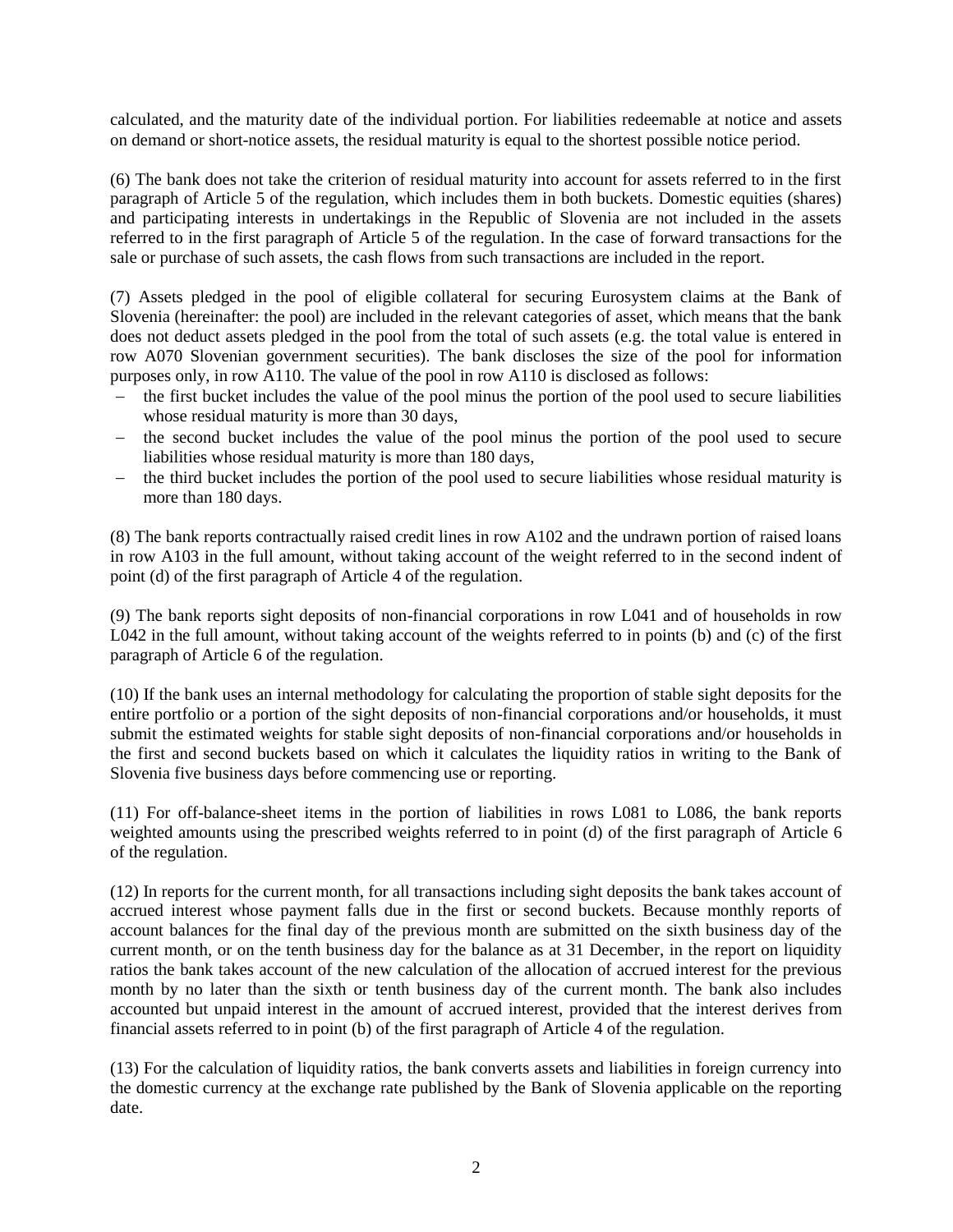calculated, and the maturity date of the individual portion. For liabilities redeemable at notice and assets on demand or short-notice assets, the residual maturity is equal to the shortest possible notice period.

(6) The bank does not take the criterion of residual maturity into account for assets referred to in the first paragraph of Article 5 of the regulation, which includes them in both buckets. Domestic equities (shares) and participating interests in undertakings in the Republic of Slovenia are not included in the assets referred to in the first paragraph of Article 5 of the regulation. In the case of forward transactions for the sale or purchase of such assets, the cash flows from such transactions are included in the report.

(7) Assets pledged in the pool of eligible collateral for securing Eurosystem claims at the Bank of Slovenia (hereinafter: the pool) are included in the relevant categories of asset, which means that the bank does not deduct assets pledged in the pool from the total of such assets (e.g. the total value is entered in row A070 Slovenian government securities). The bank discloses the size of the pool for information purposes only, in row A110. The value of the pool in row A110 is disclosed as follows:

- the first bucket includes the value of the pool minus the portion of the pool used to secure liabilities whose residual maturity is more than 30 days,
- the second bucket includes the value of the pool minus the portion of the pool used to secure liabilities whose residual maturity is more than 180 days,
- the third bucket includes the portion of the pool used to secure liabilities whose residual maturity is more than 180 days.

(8) The bank reports contractually raised credit lines in row A102 and the undrawn portion of raised loans in row A103 in the full amount, without taking account of the weight referred to in the second indent of point (d) of the first paragraph of Article 4 of the regulation.

(9) The bank reports sight deposits of non-financial corporations in row L041 and of households in row L042 in the full amount, without taking account of the weights referred to in points (b) and (c) of the first paragraph of Article 6 of the regulation.

(10) If the bank uses an internal methodology for calculating the proportion of stable sight deposits for the entire portfolio or a portion of the sight deposits of non-financial corporations and/or households, it must submit the estimated weights for stable sight deposits of non-financial corporations and/or households in the first and second buckets based on which it calculates the liquidity ratios in writing to the Bank of Slovenia five business days before commencing use or reporting.

(11) For off-balance-sheet items in the portion of liabilities in rows L081 to L086, the bank reports weighted amounts using the prescribed weights referred to in point (d) of the first paragraph of Article 6 of the regulation.

(12) In reports for the current month, for all transactions including sight deposits the bank takes account of accrued interest whose payment falls due in the first or second buckets. Because monthly reports of account balances for the final day of the previous month are submitted on the sixth business day of the current month, or on the tenth business day for the balance as at 31 December, in the report on liquidity ratios the bank takes account of the new calculation of the allocation of accrued interest for the previous month by no later than the sixth or tenth business day of the current month. The bank also includes accounted but unpaid interest in the amount of accrued interest, provided that the interest derives from financial assets referred to in point (b) of the first paragraph of Article 4 of the regulation.

(13) For the calculation of liquidity ratios, the bank converts assets and liabilities in foreign currency into the domestic currency at the exchange rate published by the Bank of Slovenia applicable on the reporting date.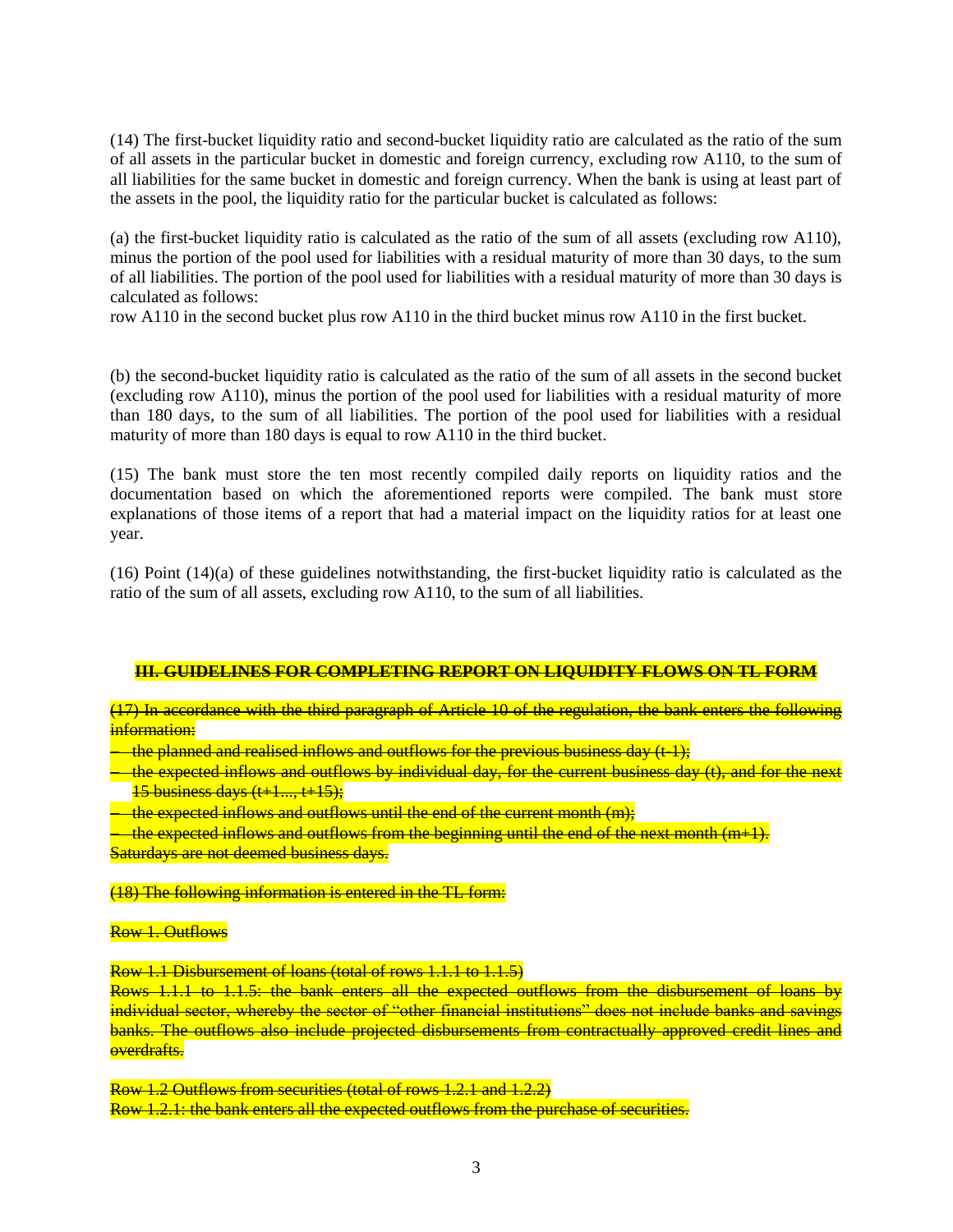(14) The first-bucket liquidity ratio and second-bucket liquidity ratio are calculated as the ratio of the sum of all assets in the particular bucket in domestic and foreign currency, excluding row A110, to the sum of all liabilities for the same bucket in domestic and foreign currency. When the bank is using at least part of the assets in the pool, the liquidity ratio for the particular bucket is calculated as follows:

(a) the first-bucket liquidity ratio is calculated as the ratio of the sum of all assets (excluding row A110), minus the portion of the pool used for liabilities with a residual maturity of more than 30 days, to the sum of all liabilities. The portion of the pool used for liabilities with a residual maturity of more than 30 days is calculated as follows:

row A110 in the second bucket plus row A110 in the third bucket minus row A110 in the first bucket.

(b) the second-bucket liquidity ratio is calculated as the ratio of the sum of all assets in the second bucket (excluding row A110), minus the portion of the pool used for liabilities with a residual maturity of more than 180 days, to the sum of all liabilities. The portion of the pool used for liabilities with a residual maturity of more than 180 days is equal to row A110 in the third bucket.

(15) The bank must store the ten most recently compiled daily reports on liquidity ratios and the documentation based on which the aforementioned reports were compiled. The bank must store explanations of those items of a report that had a material impact on the liquidity ratios for at least one year.

(16) Point (14)(a) of these guidelines notwithstanding, the first-bucket liquidity ratio is calculated as the ratio of the sum of all assets, excluding row A110, to the sum of all liabilities.

## **III. GUIDELINES FOR COMPLETING REPORT ON LIQUIDITY FLOWS ON TL FORM**

(17) In accordance with the third paragraph of Article 10 of the regulation, the bank enters the following information:

the planned and realised inflows and outflows for the previous business day  $(t-1)$ ;

the expected inflows and outflows by individual day, for the current business day (t), and for the next  $15$  business days  $(t+1, \ldots t+15)$ :

the expected inflows and outflows until the end of the current month (m);

the expected inflows and outflows from the beginning until the end of the next month  $(m+1)$ .

Saturdays are not deemed business days.

### (18) The following information is entered in the TL form:

#### Row 1. Outflows

Row 1.1 Disbursement of loans (total of rows 1.1.1 to 1.1.5)

Rows 1.1.1 to 1.1.5: the bank enters all the expected outflows from the disbursement of loans by individual sector, whereby the sector of "other financial institutions" does not include banks and savings banks. The outflows also include projected disbursements from contractually approved credit lines and overdrafts.

Row 1.2 Outflows from securities (total of rows 1.2.1 and 1.2.2) Row 1.2.1: the bank enters all the expected outflows from the purchase of securities.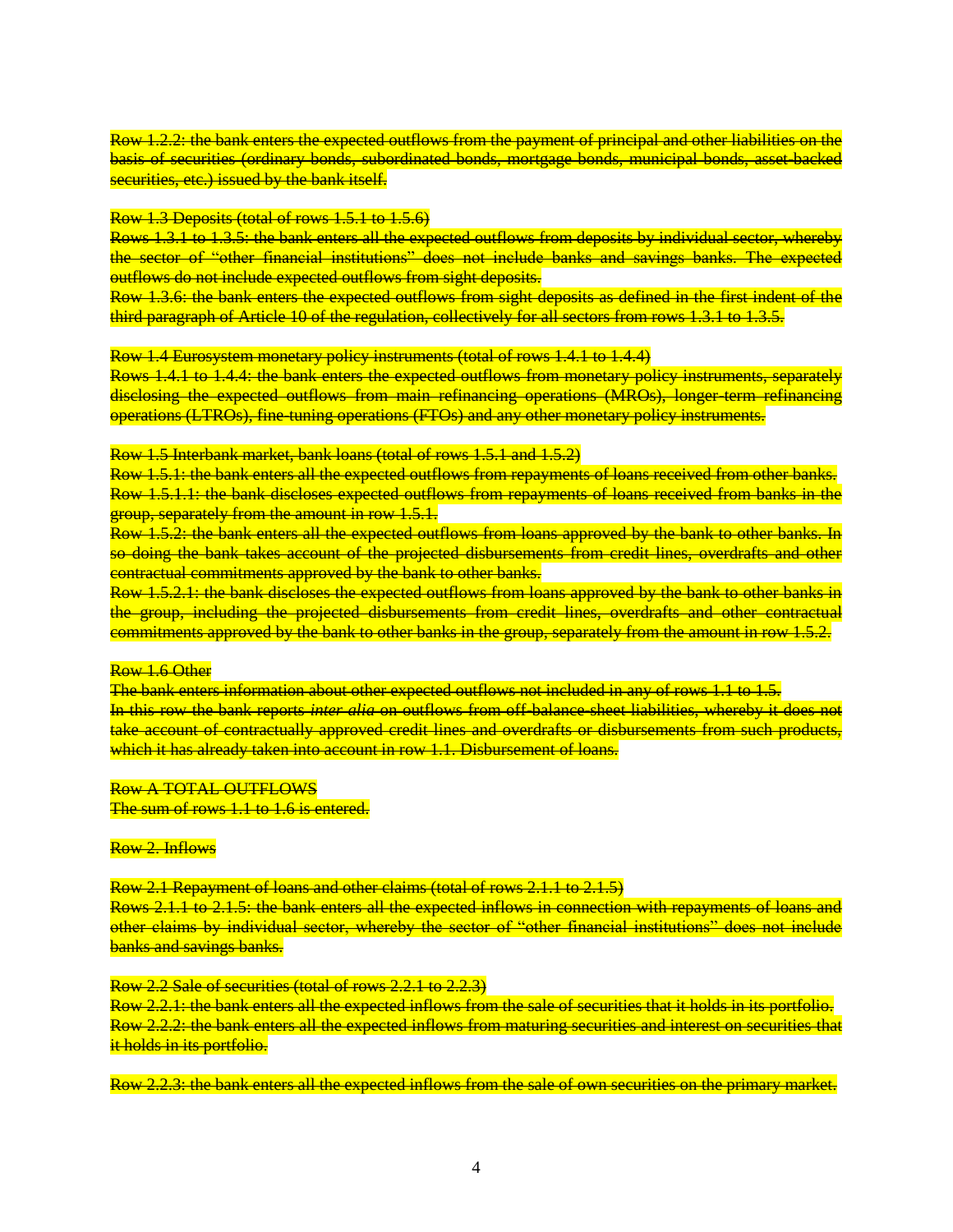Row 1.2.2: the bank enters the expected outflows from the payment of principal and other liabilities on the basis of securities (ordinary bonds, subordinated bonds, mortgage bonds, municipal bonds, asset-backed securities, etc.) issued by the bank itself.

#### Row 1.3 Deposits (total of rows 1.5.1 to 1.5.6)

Rows 1.3.1 to 1.3.5: the bank enters all the expected outflows from deposits by individual sector, whereby the sector of "other financial institutions" does not include banks and savings banks. The expected outflows do not include expected outflows from sight deposits.

Row 1.3.6: the bank enters the expected outflows from sight deposits as defined in the first indent of the third paragraph of Article 10 of the regulation, collectively for all sectors from rows 1.3.1 to 1.3.5.

Row 1.4 Eurosystem monetary policy instruments (total of rows 1.4.1 to 1.4.4)

Rows 1.4.1 to 1.4.4: the bank enters the expected outflows from monetary policy instruments, separately disclosing the expected outflows from main refinancing operations (MROs), longer-term refinancing operations (LTROs), fine-tuning operations (FTOs) and any other monetary policy instruments.

Row 1.5 Interbank market, bank loans (total of rows 1.5.1 and 1.5.2)

Row 1.5.1: the bank enters all the expected outflows from repayments of loans received from other banks. Row 1.5.1.1: the bank discloses expected outflows from repayments of loans received from banks in the group, separately from the amount in row 1.5.1.

Row 1.5.2: the bank enters all the expected outflows from loans approved by the bank to other banks. In so doing the bank takes account of the projected disbursements from credit lines, overdrafts and other contractual commitments approved by the bank to other banks.

Row 1.5.2.1: the bank discloses the expected outflows from loans approved by the bank to other banks in the group, including the projected disbursements from credit lines, overdrafts and other contractual commitments approved by the bank to other banks in the group, separately from the amount in row 1.5.2.

#### Row 1.6 Other

The bank enters information about other expected outflows not included in any of rows 1.1 to 1.5. In this row the bank reports *inter alia* on outflows from off-balance-sheet liabilities, whereby it does not take account of contractually approved credit lines and overdrafts or disbursements from such products, which it has already taken into account in row 1.1. Disbursement of loans.

#### Row A TOTAL OUTFLOWS

The sum of rows 1.1 to 1.6 is entered.

### Row 2. Inflows

Row 2.1 Repayment of loans and other claims (total of rows 2.1.1 to 2.1.5)

Rows 2.1.1 to 2.1.5: the bank enters all the expected inflows in connection with repayments of loans and other claims by individual sector, whereby the sector of "other financial institutions" does not include banks and savings banks.

#### Row 2.2 Sale of securities (total of rows 2.2.1 to 2.2.3)

Row 2.2.1: the bank enters all the expected inflows from the sale of securities that it holds in its portfolio. Row 2.2.2: the bank enters all the expected inflows from maturing securities and interest on securities that it holds in its portfolio.

Row 2.2.3: the bank enters all the expected inflows from the sale of own securities on the primary market.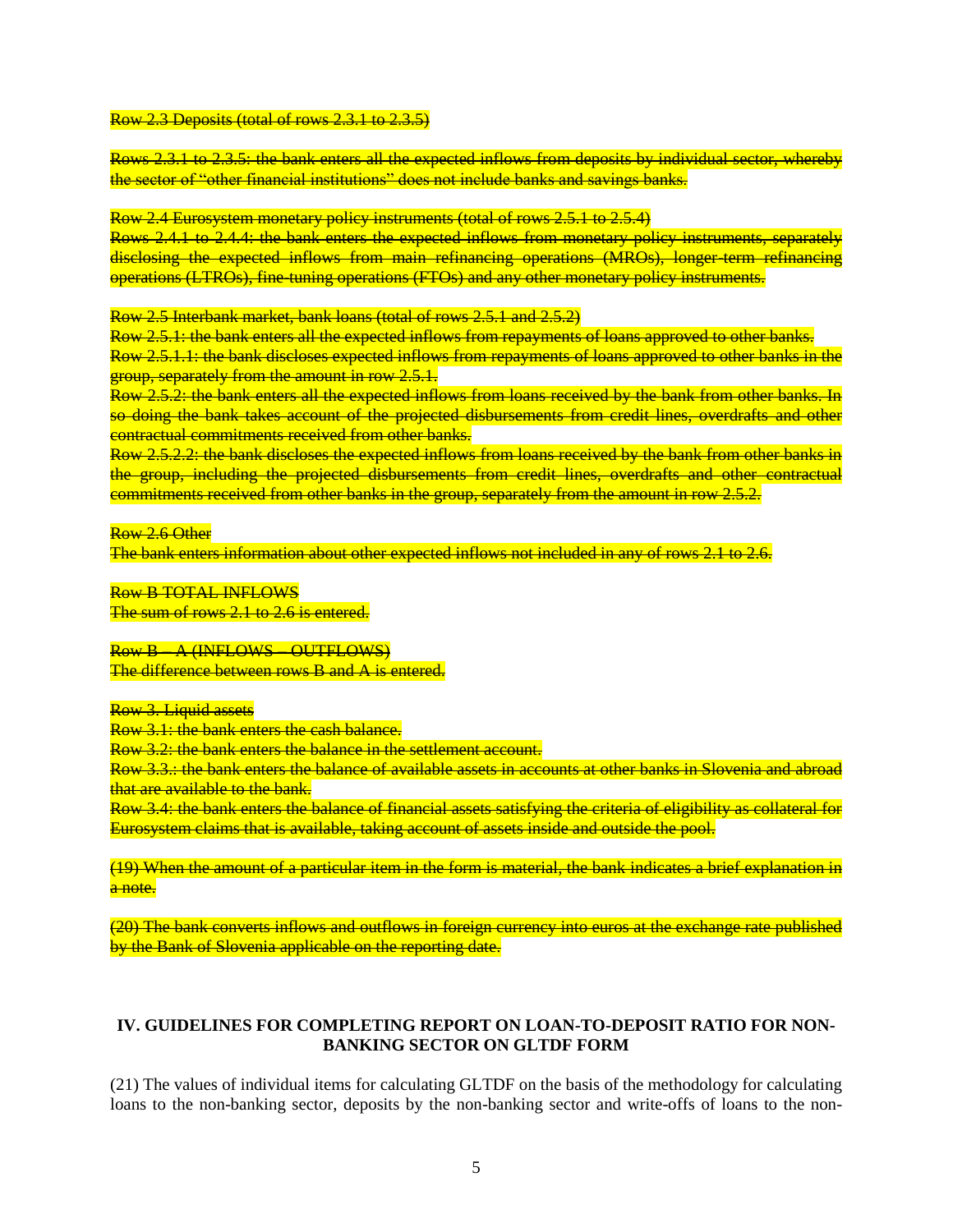#### Row 2.3 Deposits (total of rows 2.3.1 to 2.3.5)

Rows 2.3.1 to 2.3.5: the bank enters all the expected inflows from deposits by individual sector, whereby the sector of "other financial institutions" does not include banks and savings banks.

Row 2.4 Eurosystem monetary policy instruments (total of rows 2.5.1 to 2.5.4)

Rows 2.4.1 to 2.4.4: the bank enters the expected inflows from monetary policy instruments, separately disclosing the expected inflows from main refinancing operations (MROs), longer-term refinancing operations (LTROs), fine-tuning operations (FTOs) and any other monetary policy instruments.

Row 2.5 Interbank market, bank loans (total of rows 2.5.1 and 2.5.2)

Row 2.5.1: the bank enters all the expected inflows from repayments of loans approved to other banks.

Row 2.5.1.1: the bank discloses expected inflows from repayments of loans approved to other banks in the group, separately from the amount in row 2.5.1.

Row 2.5.2: the bank enters all the expected inflows from loans received by the bank from other banks. In so doing the bank takes account of the projected disbursements from credit lines, overdrafts and other contractual commitments received from other banks.

Row 2.5.2.2: the bank discloses the expected inflows from loans received by the bank from other banks in the group, including the projected disbursements from credit lines, overdrafts and other contractual commitments received from other banks in the group, separately from the amount in row 2.5.2.

Row 2.6 Other

The bank enters information about other expected inflows not included in any of rows 2.1 to 2.6.

Row B TOTAL INFLOWS The sum of rows 2.1 to 2.6 is entered.

Row B – A (INFLOWS – OUTFLOWS) The difference between rows B and A is entered.

Row 3. Liquid assets

Row 3.1: the bank enters the cash balance.

Row 3.2: the bank enters the balance in the settlement account.

Row 3.3.: the bank enters the balance of available assets in accounts at other banks in Slovenia and abroad that are available to the bank.

Row 3.4: the bank enters the balance of financial assets satisfying the criteria of eligibility as collateral for Eurosystem claims that is available, taking account of assets inside and outside the pool.

(19) When the amount of a particular item in the form is material, the bank indicates a brief explanation in a note.

(20) The bank converts inflows and outflows in foreign currency into euros at the exchange rate published by the Bank of Slovenia applicable on the reporting date.

### **IV. GUIDELINES FOR COMPLETING REPORT ON LOAN-TO-DEPOSIT RATIO FOR NON-BANKING SECTOR ON GLTDF FORM**

(21) The values of individual items for calculating GLTDF on the basis of the methodology for calculating loans to the non-banking sector, deposits by the non-banking sector and write-offs of loans to the non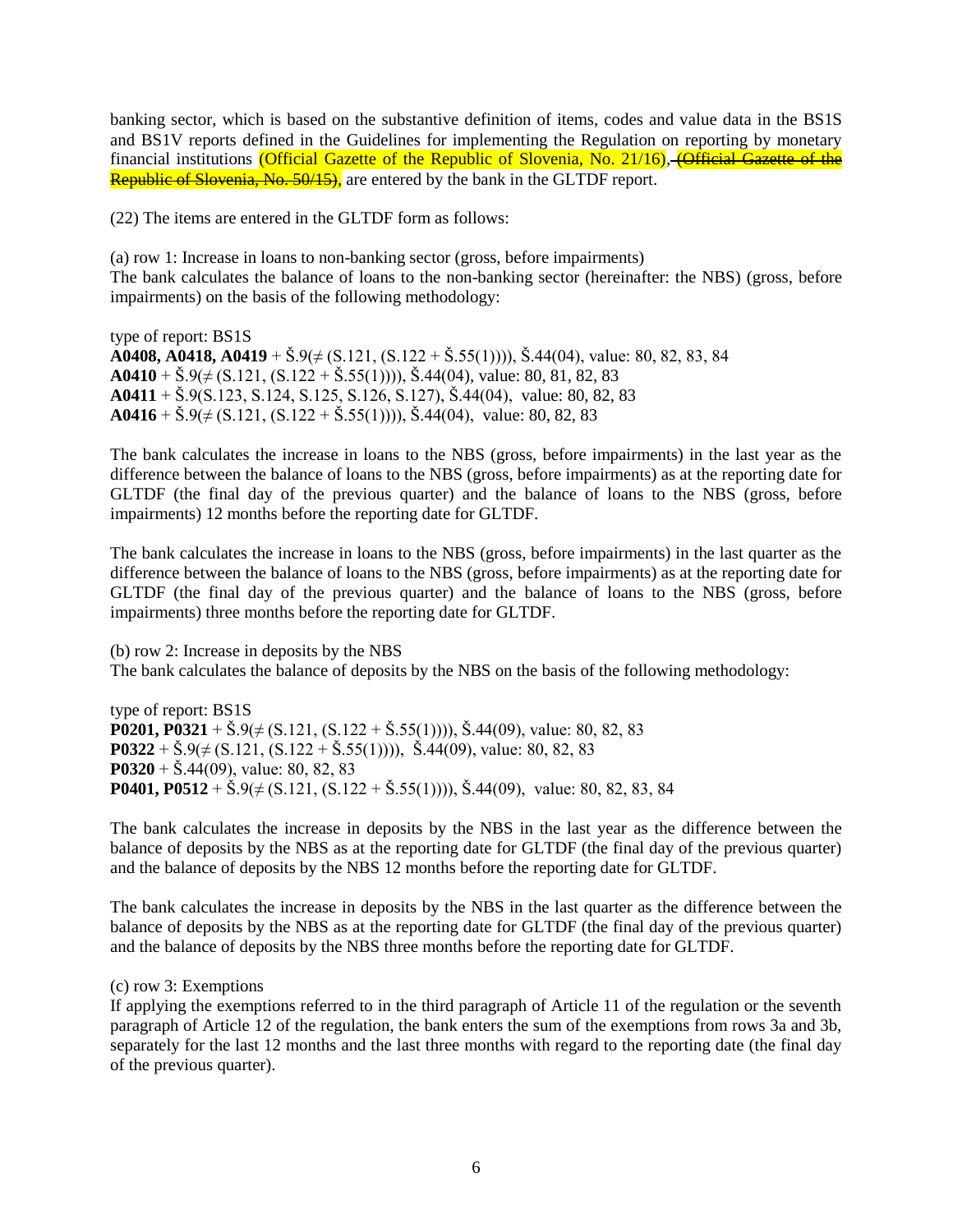banking sector, which is based on the substantive definition of items, codes and value data in the BS1S and BS1V reports defined in the Guidelines for implementing the Regulation on reporting by monetary financial institutions (Official Gazette of the Republic of Slovenia, No. 21/16), (Official Gazette of the Republic of Slovenia, No. 50/15), are entered by the bank in the GLTDF report.

(22) The items are entered in the GLTDF form as follows:

(a) row 1: Increase in loans to non-banking sector (gross, before impairments) The bank calculates the balance of loans to the non-banking sector (hereinafter: the NBS) (gross, before impairments) on the basis of the following methodology:

type of report: BS1S **A0408, A0418, A0419** + Š.9(≠ (S.121, (S.122 + Š.55(1)))), Š.44(04), value: 80, 82, 83, 84 **A0410** +  $\check{\text{S}}.9(\neq$  (S.121, (S.122 +  $\check{\text{S}}.55(1)$ ))),  $\check{\text{S}}.44(04)$ , value: 80, 81, 82, 83 **A0411** + Š.9(S.123, S.124, S.125, S.126, S.127), Š.44(04), value: 80, 82, 83 **A0416** +  $\check{S}.9(\neq (S.121, (S.122 + \check{S}.55(1))))$ ,  $\check{S}.44(04)$ , value: 80, 82, 83

The bank calculates the increase in loans to the NBS (gross, before impairments) in the last year as the difference between the balance of loans to the NBS (gross, before impairments) as at the reporting date for GLTDF (the final day of the previous quarter) and the balance of loans to the NBS (gross, before impairments) 12 months before the reporting date for GLTDF.

The bank calculates the increase in loans to the NBS (gross, before impairments) in the last quarter as the difference between the balance of loans to the NBS (gross, before impairments) as at the reporting date for GLTDF (the final day of the previous quarter) and the balance of loans to the NBS (gross, before impairments) three months before the reporting date for GLTDF.

(b) row 2: Increase in deposits by the NBS The bank calculates the balance of deposits by the NBS on the basis of the following methodology:

type of report: BS1S **P0201, P0321** +  $\check{S}.9(\neq (S.121, (S.122 + \check{S}.55(1))))$ ,  $\check{S}.44(09)$ , value: 80, 82, 83 **P0322** +  $\check{S}.9(\neq (S.121, (S.122 + \check{S}.55(1))))$ ,  $\check{S}.44(09)$ , value: 80, 82, 83 **P0320** + Š.44(09), value: 80, 82, 83 **P0401, P0512** +  $\check{S}$ .9( $\neq$  (S.121, (S.122 +  $\check{S}$ .55(1)))),  $\check{S}$ .44(09), value: 80, 82, 83, 84

The bank calculates the increase in deposits by the NBS in the last year as the difference between the balance of deposits by the NBS as at the reporting date for GLTDF (the final day of the previous quarter) and the balance of deposits by the NBS 12 months before the reporting date for GLTDF.

The bank calculates the increase in deposits by the NBS in the last quarter as the difference between the balance of deposits by the NBS as at the reporting date for GLTDF (the final day of the previous quarter) and the balance of deposits by the NBS three months before the reporting date for GLTDF.

(c) row 3: Exemptions

If applying the exemptions referred to in the third paragraph of Article 11 of the regulation or the seventh paragraph of Article 12 of the regulation, the bank enters the sum of the exemptions from rows 3a and 3b, separately for the last 12 months and the last three months with regard to the reporting date (the final day of the previous quarter).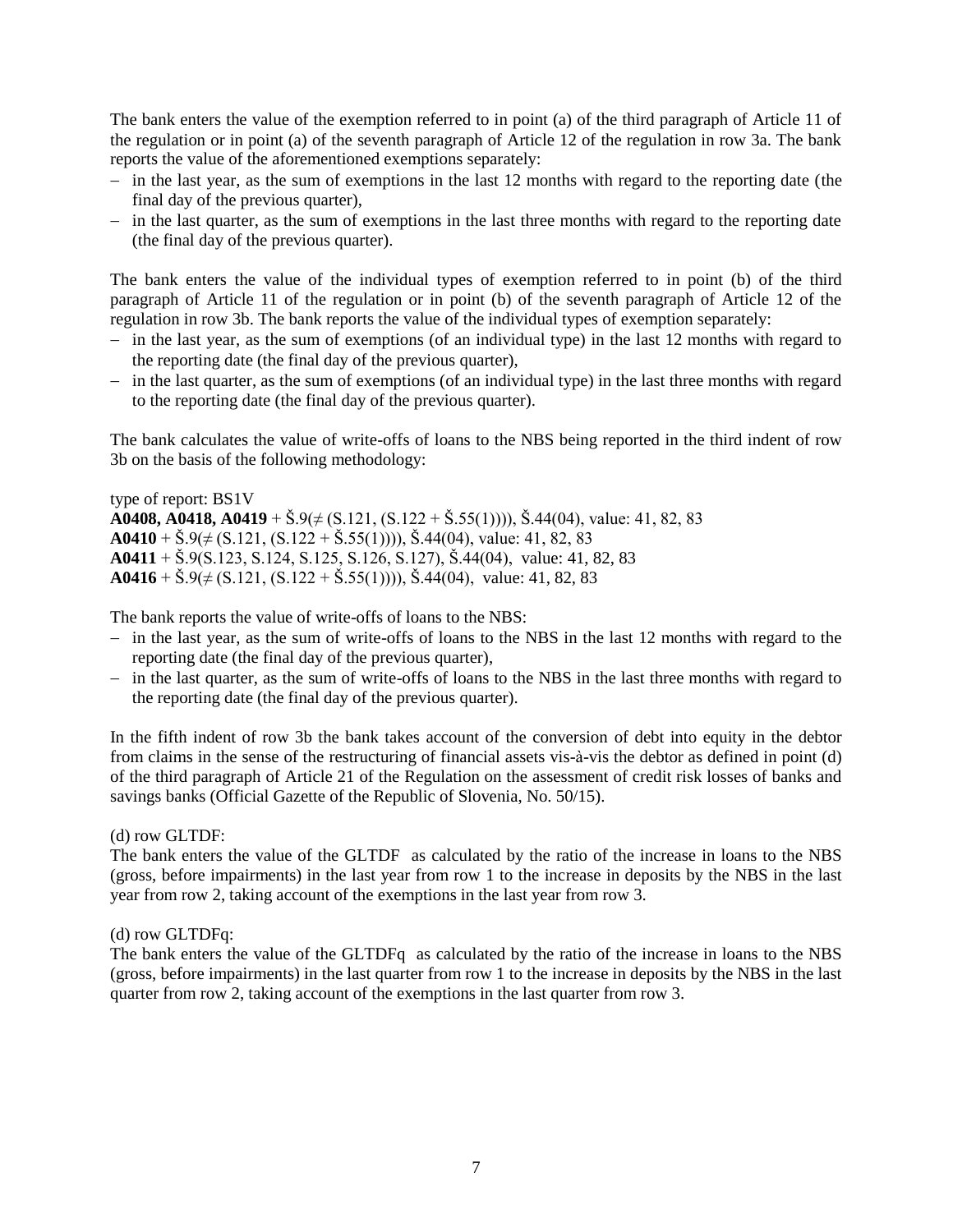The bank enters the value of the exemption referred to in point (a) of the third paragraph of Article 11 of the regulation or in point (a) of the seventh paragraph of Article 12 of the regulation in row 3a. The bank reports the value of the aforementioned exemptions separately:

- $\overline{\phantom{a}}$  in the last year, as the sum of exemptions in the last 12 months with regard to the reporting date (the final day of the previous quarter),
- $-$  in the last quarter, as the sum of exemptions in the last three months with regard to the reporting date (the final day of the previous quarter).

The bank enters the value of the individual types of exemption referred to in point (b) of the third paragraph of Article 11 of the regulation or in point (b) of the seventh paragraph of Article 12 of the regulation in row 3b. The bank reports the value of the individual types of exemption separately:

- $\overline{\phantom{a}}$  in the last year, as the sum of exemptions (of an individual type) in the last 12 months with regard to the reporting date (the final day of the previous quarter),
- $\overline{\phantom{a}}$  in the last quarter, as the sum of exemptions (of an individual type) in the last three months with regard to the reporting date (the final day of the previous quarter).

The bank calculates the value of write-offs of loans to the NBS being reported in the third indent of row 3b on the basis of the following methodology:

type of report: BS1V **A0408, A0418, A0419** + Š.9(≠ (S.121, (S.122 + Š.55(1)))), Š.44(04), value: 41, 82, 83 **A0410** +  $\check{S}.9(\neq (S.121, (S.122 + \check{S}.55(1))))$ ,  $\check{S}.44(04)$ , value: 41, 82, 83 **A0411** + Š.9(S.123, S.124, S.125, S.126, S.127), Š.44(04), value: 41, 82, 83 **A0416** +  $\check{S}.9(\neq (S.121, (S.122 + \check{S}.55(1))))$ ,  $\check{S}.44(04)$ , value: 41, 82, 83

The bank reports the value of write-offs of loans to the NBS:

- $\overline{\phantom{a}}$  in the last year, as the sum of write-offs of loans to the NBS in the last 12 months with regard to the reporting date (the final day of the previous quarter),
- in the last quarter, as the sum of write-offs of loans to the NBS in the last three months with regard to the reporting date (the final day of the previous quarter).

In the fifth indent of row 3b the bank takes account of the conversion of debt into equity in the debtor from claims in the sense of the restructuring of financial assets vis-à-vis the debtor as defined in point (d) of the third paragraph of Article 21 of the Regulation on the assessment of credit risk losses of banks and savings banks (Official Gazette of the Republic of Slovenia, No. 50/15).

## (d) row GLTDF:

The bank enters the value of the GLTDF as calculated by the ratio of the increase in loans to the NBS (gross, before impairments) in the last year from row 1 to the increase in deposits by the NBS in the last year from row 2, taking account of the exemptions in the last year from row 3.

## (d) row GLTDFq:

The bank enters the value of the GLTDFq as calculated by the ratio of the increase in loans to the NBS (gross, before impairments) in the last quarter from row 1 to the increase in deposits by the NBS in the last quarter from row 2, taking account of the exemptions in the last quarter from row 3.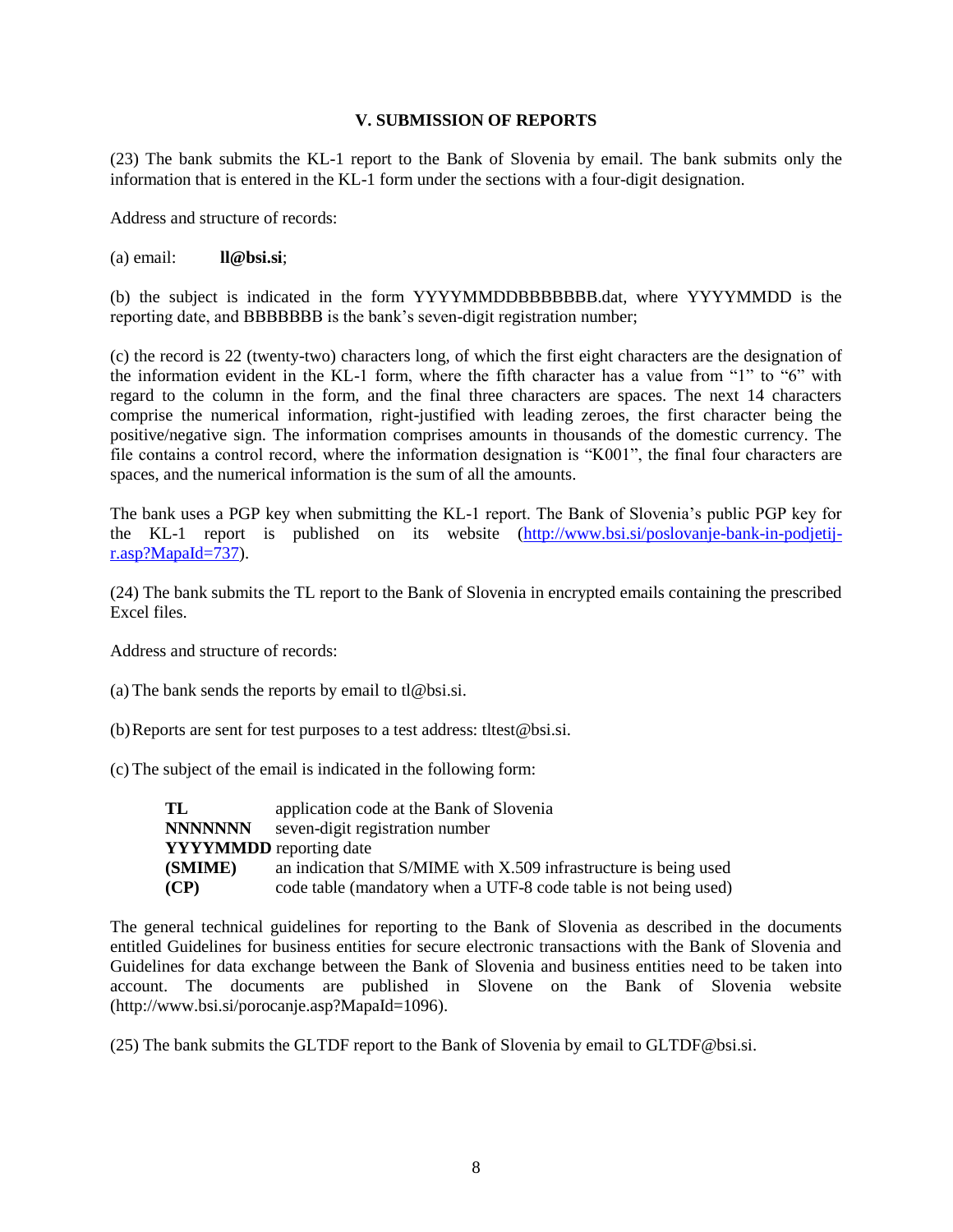## **V. SUBMISSION OF REPORTS**

(23) The bank submits the KL-1 report to the Bank of Slovenia by email. The bank submits only the information that is entered in the KL-1 form under the sections with a four-digit designation.

Address and structure of records:

(a) email: **ll@bsi.si**;

(b) the subject is indicated in the form YYYYMMDDBBBBBBB.dat, where YYYYMMDD is the reporting date, and BBBBBBB is the bank's seven-digit registration number;

(c) the record is 22 (twenty-two) characters long, of which the first eight characters are the designation of the information evident in the KL-1 form, where the fifth character has a value from "1" to "6" with regard to the column in the form, and the final three characters are spaces. The next 14 characters comprise the numerical information, right-justified with leading zeroes, the first character being the positive/negative sign. The information comprises amounts in thousands of the domestic currency. The file contains a control record, where the information designation is "K001", the final four characters are spaces, and the numerical information is the sum of all the amounts.

The bank uses a PGP key when submitting the KL-1 report. The Bank of Slovenia's public PGP key for the KL-1 report is published on its website [\(http://www.bsi.si/poslovanje-bank-in-podjetij](http://www.bsi.si/poslovanje-bank-in-podjetij-r.asp?MapaId=737)[r.asp?MapaId=737\)](http://www.bsi.si/poslovanje-bank-in-podjetij-r.asp?MapaId=737).

(24) The bank submits the TL report to the Bank of Slovenia in encrypted emails containing the prescribed Excel files.

Address and structure of records:

(a) The bank sends the reports by email to tl $@$ bsi.si.

(b)Reports are sent for test purposes to a test address: tltest@bsi.si.

(c) The subject of the email is indicated in the following form:

| TL                             | application code at the Bank of Slovenia                          |
|--------------------------------|-------------------------------------------------------------------|
| <b>NNNNNNN</b>                 | seven-digit registration number                                   |
| <b>YYYYMMDD</b> reporting date |                                                                   |
| (SMIME)                        | an indication that S/MIME with X.509 infrastructure is being used |
| (CP)                           | code table (mandatory when a UTF-8 code table is not being used)  |

The general technical guidelines for reporting to the Bank of Slovenia as described in the documents entitled Guidelines for business entities for secure electronic transactions with the Bank of Slovenia and Guidelines for data exchange between the Bank of Slovenia and business entities need to be taken into account. The documents are published in Slovene on the Bank of Slovenia website [\(http://www.bsi.si/porocanje.asp?MapaId=1096\)](http://www.bsi.si/porocanje.asp?MapaId=1096).

(25) The bank submits the GLTDF report to the Bank of Slovenia by email to GLTDF@bsi.si.